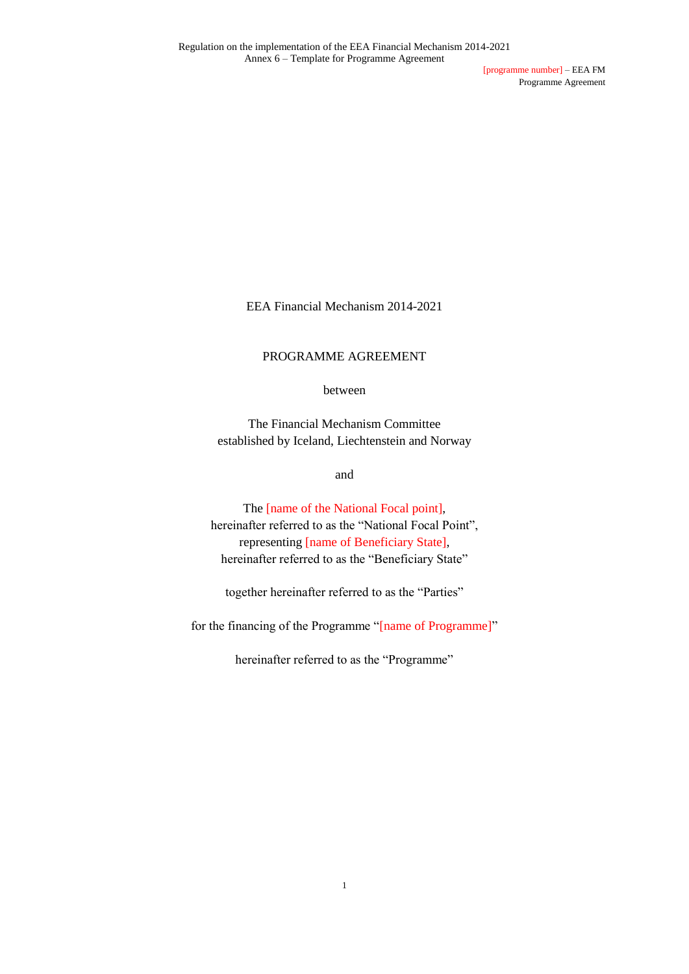[programme number] – EEA FM Programme Agreement

EEA Financial Mechanism 2014-2021

#### PROGRAMME AGREEMENT

between

The Financial Mechanism Committee established by Iceland, Liechtenstein and Norway

and

The [name of the National Focal point], hereinafter referred to as the "National Focal Point", representing [name of Beneficiary State], hereinafter referred to as the "Beneficiary State"

together hereinafter referred to as the "Parties"

for the financing of the Programme "[name of Programme]"

hereinafter referred to as the "Programme"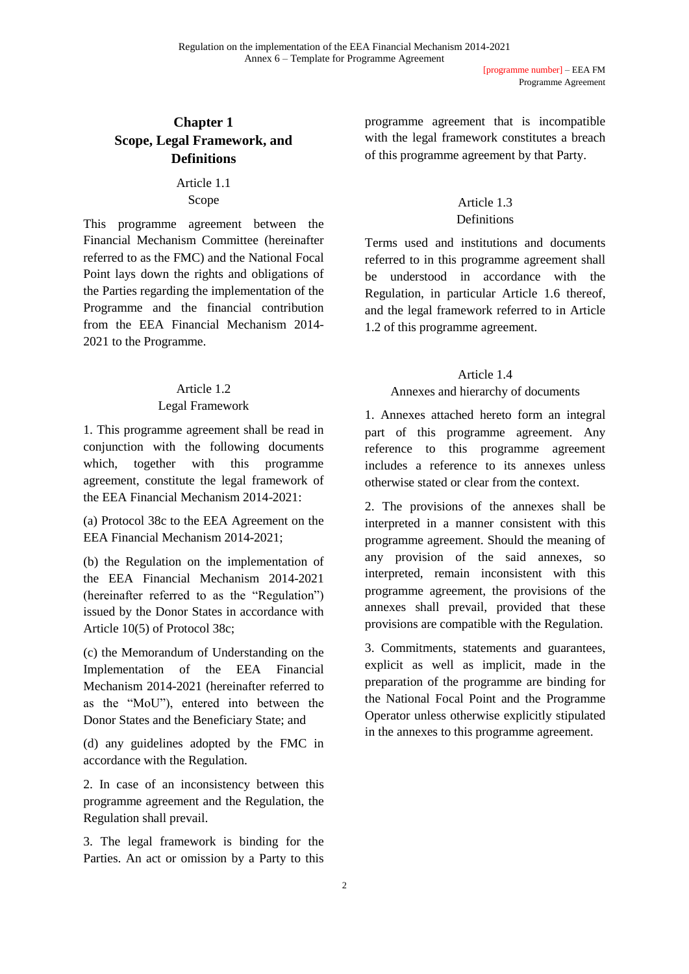# **Chapter 1 Scope, Legal Framework, and Definitions**

Article 1.1 Scope

This programme agreement between the Financial Mechanism Committee (hereinafter referred to as the FMC) and the National Focal Point lays down the rights and obligations of the Parties regarding the implementation of the Programme and the financial contribution from the EEA Financial Mechanism 2014- 2021 to the Programme.

#### Article 1.2

#### Legal Framework

1. This programme agreement shall be read in conjunction with the following documents which, together with this programme agreement, constitute the legal framework of the EEA Financial Mechanism 2014-2021:

(a) Protocol 38c to the EEA Agreement on the EEA Financial Mechanism 2014-2021;

(b) the Regulation on the implementation of the EEA Financial Mechanism 2014-2021 (hereinafter referred to as the "Regulation") issued by the Donor States in accordance with Article 10(5) of Protocol 38c;

(c) the Memorandum of Understanding on the Implementation of the EEA Financial Mechanism 2014-2021 (hereinafter referred to as the "MoU"), entered into between the Donor States and the Beneficiary State; and

(d) any guidelines adopted by the FMC in accordance with the Regulation.

2. In case of an inconsistency between this programme agreement and the Regulation, the Regulation shall prevail.

3. The legal framework is binding for the Parties. An act or omission by a Party to this

programme agreement that is incompatible with the legal framework constitutes a breach of this programme agreement by that Party.

# Article 1.3 Definitions

Terms used and institutions and documents referred to in this programme agreement shall be understood in accordance with the Regulation, in particular Article 1.6 thereof, and the legal framework referred to in Article 1.2 of this programme agreement.

# Article 1.4

# Annexes and hierarchy of documents

1. Annexes attached hereto form an integral part of this programme agreement. Any reference to this programme agreement includes a reference to its annexes unless otherwise stated or clear from the context.

2. The provisions of the annexes shall be interpreted in a manner consistent with this programme agreement. Should the meaning of any provision of the said annexes, so interpreted, remain inconsistent with this programme agreement, the provisions of the annexes shall prevail, provided that these provisions are compatible with the Regulation.

3. Commitments, statements and guarantees, explicit as well as implicit, made in the preparation of the programme are binding for the National Focal Point and the Programme Operator unless otherwise explicitly stipulated in the annexes to this programme agreement.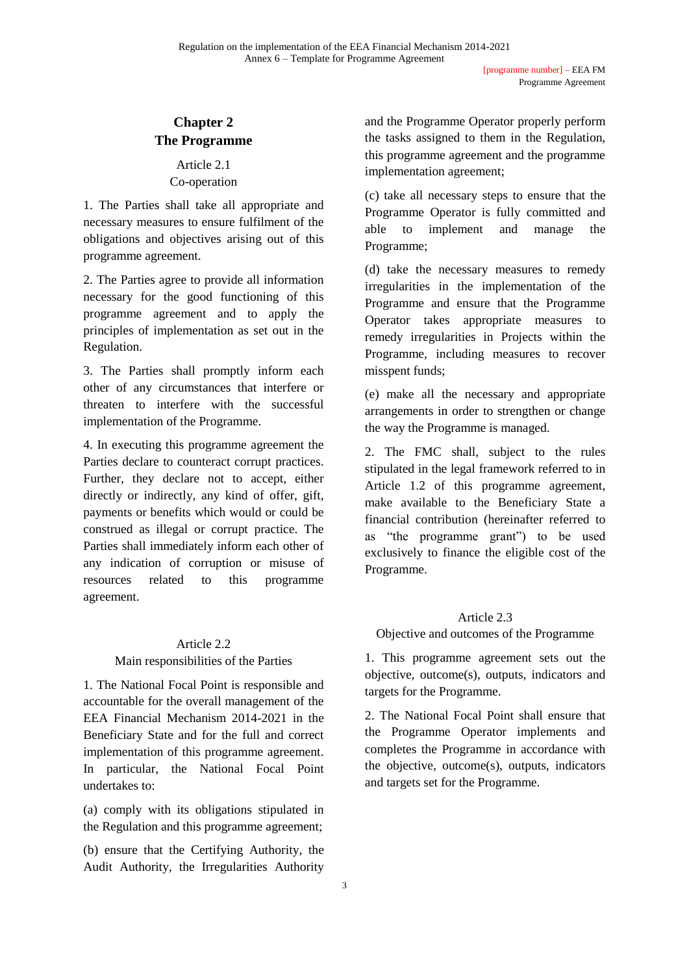# **Chapter 2 The Programme**

# Article 2.1 Co-operation

1. The Parties shall take all appropriate and necessary measures to ensure fulfilment of the obligations and objectives arising out of this programme agreement.

2. The Parties agree to provide all information necessary for the good functioning of this programme agreement and to apply the principles of implementation as set out in the Regulation.

3. The Parties shall promptly inform each other of any circumstances that interfere or threaten to interfere with the successful implementation of the Programme.

4. In executing this programme agreement the Parties declare to counteract corrupt practices. Further, they declare not to accept, either directly or indirectly, any kind of offer, gift, payments or benefits which would or could be construed as illegal or corrupt practice. The Parties shall immediately inform each other of any indication of corruption or misuse of resources related to this programme agreement.

# Article 2.2

# Main responsibilities of the Parties

1. The National Focal Point is responsible and accountable for the overall management of the EEA Financial Mechanism 2014-2021 in the Beneficiary State and for the full and correct implementation of this programme agreement. In particular, the National Focal Point undertakes to:

(a) comply with its obligations stipulated in the Regulation and this programme agreement;

(b) ensure that the Certifying Authority, the Audit Authority, the Irregularities Authority

and the Programme Operator properly perform the tasks assigned to them in the Regulation, this programme agreement and the programme implementation agreement;

(c) take all necessary steps to ensure that the Programme Operator is fully committed and able to implement and manage the Programme;

(d) take the necessary measures to remedy irregularities in the implementation of the Programme and ensure that the Programme Operator takes appropriate measures to remedy irregularities in Projects within the Programme, including measures to recover misspent funds;

(e) make all the necessary and appropriate arrangements in order to strengthen or change the way the Programme is managed.

2. The FMC shall, subject to the rules stipulated in the legal framework referred to in Article 1.2 of this programme agreement, make available to the Beneficiary State a financial contribution (hereinafter referred to as "the programme grant") to be used exclusively to finance the eligible cost of the Programme.

# Article 2.3

Objective and outcomes of the Programme

1. This programme agreement sets out the objective, outcome(s), outputs, indicators and targets for the Programme.

2. The National Focal Point shall ensure that the Programme Operator implements and completes the Programme in accordance with the objective, outcome(s), outputs, indicators and targets set for the Programme.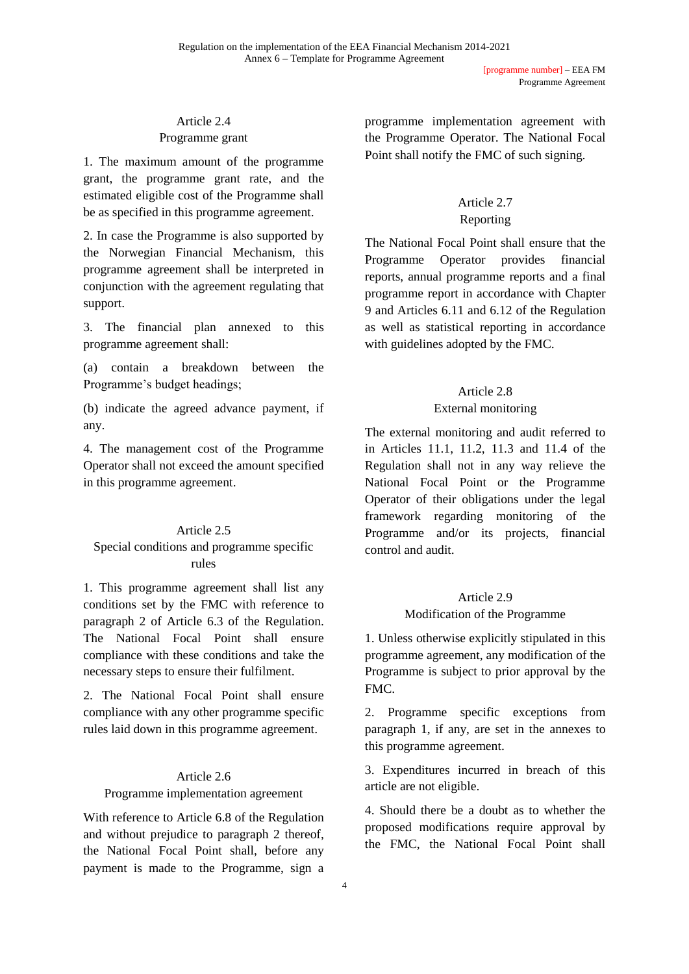### Article 2.4 Programme grant

1. The maximum amount of the programme grant, the programme grant rate, and the estimated eligible cost of the Programme shall be as specified in this programme agreement.

2. In case the Programme is also supported by the Norwegian Financial Mechanism, this programme agreement shall be interpreted in conjunction with the agreement regulating that support.

3. The financial plan annexed to this programme agreement shall:

(a) contain a breakdown between the Programme's budget headings;

(b) indicate the agreed advance payment, if any.

4. The management cost of the Programme Operator shall not exceed the amount specified in this programme agreement.

# Article 2.5

# Special conditions and programme specific rules

1. This programme agreement shall list any conditions set by the FMC with reference to paragraph 2 of Article 6.3 of the Regulation. The National Focal Point shall ensure compliance with these conditions and take the necessary steps to ensure their fulfilment.

2. The National Focal Point shall ensure compliance with any other programme specific rules laid down in this programme agreement.

# Article 2.6

# Programme implementation agreement

With reference to Article 6.8 of the Regulation and without prejudice to paragraph 2 thereof, the National Focal Point shall, before any payment is made to the Programme, sign a programme implementation agreement with the Programme Operator. The National Focal Point shall notify the FMC of such signing.

# Article 2.7 Reporting

The National Focal Point shall ensure that the Programme Operator provides financial reports, annual programme reports and a final programme report in accordance with Chapter 9 and Articles 6.11 and 6.12 of the Regulation as well as statistical reporting in accordance with guidelines adopted by the FMC.

# Article 2.8

# External monitoring

The external monitoring and audit referred to in Articles 11.1, 11.2, 11.3 and 11.4 of the Regulation shall not in any way relieve the National Focal Point or the Programme Operator of their obligations under the legal framework regarding monitoring of the Programme and/or its projects, financial control and audit.

# Article 2.9

# Modification of the Programme

1. Unless otherwise explicitly stipulated in this programme agreement, any modification of the Programme is subject to prior approval by the FMC.

2. Programme specific exceptions from paragraph 1, if any, are set in the annexes to this programme agreement.

3. Expenditures incurred in breach of this article are not eligible.

4. Should there be a doubt as to whether the proposed modifications require approval by the FMC, the National Focal Point shall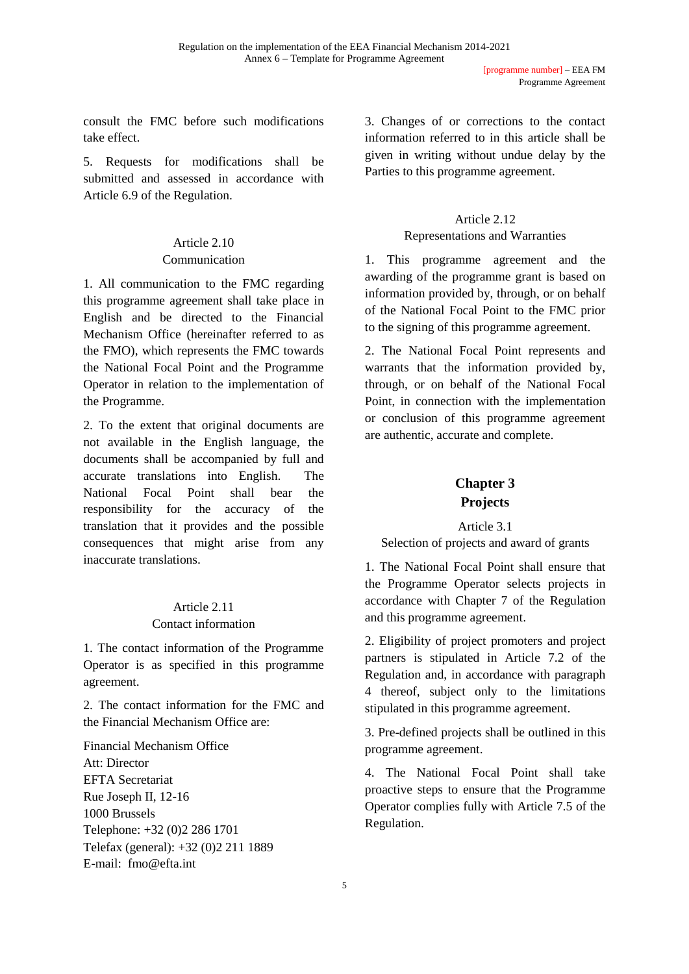consult the FMC before such modifications take effect.

5. Requests for modifications shall be submitted and assessed in accordance with Article 6.9 of the Regulation.

#### Article 2.10 Communication

1. All communication to the FMC regarding this programme agreement shall take place in English and be directed to the Financial Mechanism Office (hereinafter referred to as the FMO), which represents the FMC towards the National Focal Point and the Programme Operator in relation to the implementation of the Programme.

2. To the extent that original documents are not available in the English language, the documents shall be accompanied by full and accurate translations into English. The National Focal Point shall bear the responsibility for the accuracy of the translation that it provides and the possible consequences that might arise from any inaccurate translations.

# Article 2.11 Contact information

1. The contact information of the Programme Operator is as specified in this programme agreement.

2. The contact information for the FMC and the Financial Mechanism Office are:

Financial Mechanism Office Att: Director EFTA Secretariat Rue Joseph II, 12-16 1000 Brussels Telephone: +32 (0)2 286 1701 Telefax (general): +32 (0)2 211 1889 E-mail: fmo@efta.int

3. Changes of or corrections to the contact information referred to in this article shall be given in writing without undue delay by the Parties to this programme agreement.

# Article 2.12

#### Representations and Warranties

1. This programme agreement and the awarding of the programme grant is based on information provided by, through, or on behalf of the National Focal Point to the FMC prior to the signing of this programme agreement.

2. The National Focal Point represents and warrants that the information provided by, through, or on behalf of the National Focal Point, in connection with the implementation or conclusion of this programme agreement are authentic, accurate and complete.

# **Chapter 3 Projects**

# Article 3.1 Selection of projects and award of grants

1. The National Focal Point shall ensure that the Programme Operator selects projects in accordance with Chapter 7 of the Regulation and this programme agreement.

2. Eligibility of project promoters and project partners is stipulated in Article 7.2 of the Regulation and, in accordance with paragraph 4 thereof, subject only to the limitations stipulated in this programme agreement.

3. Pre-defined projects shall be outlined in this programme agreement.

4. The National Focal Point shall take proactive steps to ensure that the Programme Operator complies fully with Article 7.5 of the Regulation.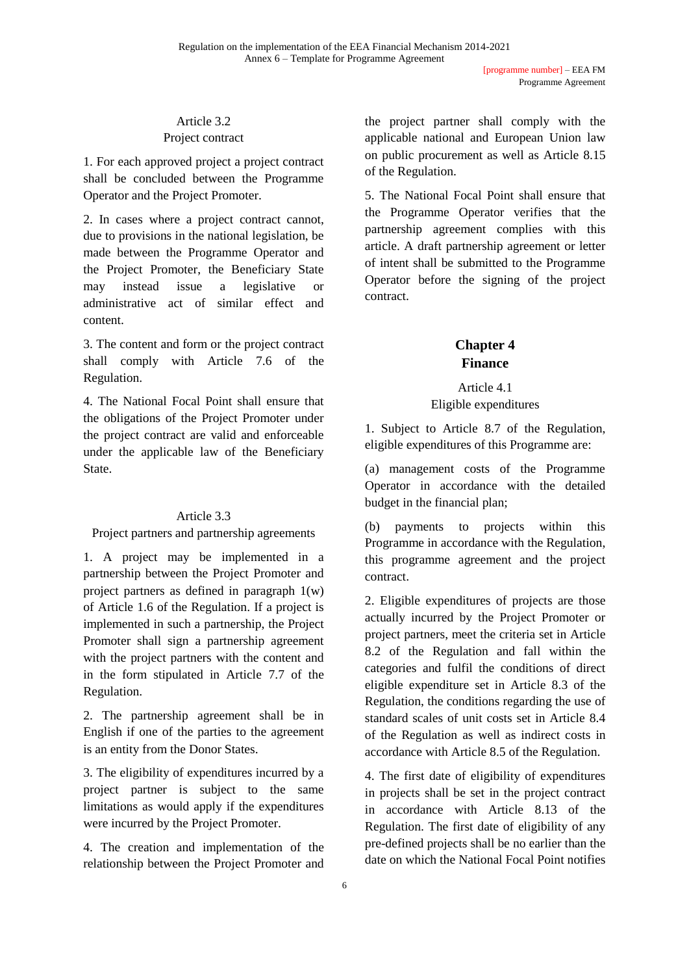# Article 3.2 Project contract

1. For each approved project a project contract shall be concluded between the Programme Operator and the Project Promoter.

2. In cases where a project contract cannot, due to provisions in the national legislation, be made between the Programme Operator and the Project Promoter, the Beneficiary State may instead issue a legislative or administrative act of similar effect and content.

3. The content and form or the project contract shall comply with Article 7.6 of the Regulation.

4. The National Focal Point shall ensure that the obligations of the Project Promoter under the project contract are valid and enforceable under the applicable law of the Beneficiary State.

# Article 3.3

# Project partners and partnership agreements

1. A project may be implemented in a partnership between the Project Promoter and project partners as defined in paragraph 1(w) of Article 1.6 of the Regulation. If a project is implemented in such a partnership, the Project Promoter shall sign a partnership agreement with the project partners with the content and in the form stipulated in Article 7.7 of the Regulation.

2. The partnership agreement shall be in English if one of the parties to the agreement is an entity from the Donor States.

3. The eligibility of expenditures incurred by a project partner is subject to the same limitations as would apply if the expenditures were incurred by the Project Promoter.

4. The creation and implementation of the relationship between the Project Promoter and

the project partner shall comply with the applicable national and European Union law on public procurement as well as Article 8.15 of the Regulation.

5. The National Focal Point shall ensure that the Programme Operator verifies that the partnership agreement complies with this article. A draft partnership agreement or letter of intent shall be submitted to the Programme Operator before the signing of the project contract.

# **Chapter 4 Finance**

Article 4.1 Eligible expenditures

1. Subject to Article 8.7 of the Regulation, eligible expenditures of this Programme are:

(a) management costs of the Programme Operator in accordance with the detailed budget in the financial plan;

(b) payments to projects within this Programme in accordance with the Regulation, this programme agreement and the project contract.

2. Eligible expenditures of projects are those actually incurred by the Project Promoter or project partners, meet the criteria set in Article 8.2 of the Regulation and fall within the categories and fulfil the conditions of direct eligible expenditure set in Article 8.3 of the Regulation, the conditions regarding the use of standard scales of unit costs set in Article 8.4 of the Regulation as well as indirect costs in accordance with Article 8.5 of the Regulation.

4. The first date of eligibility of expenditures in projects shall be set in the project contract in accordance with Article 8.13 of the Regulation. The first date of eligibility of any pre-defined projects shall be no earlier than the date on which the National Focal Point notifies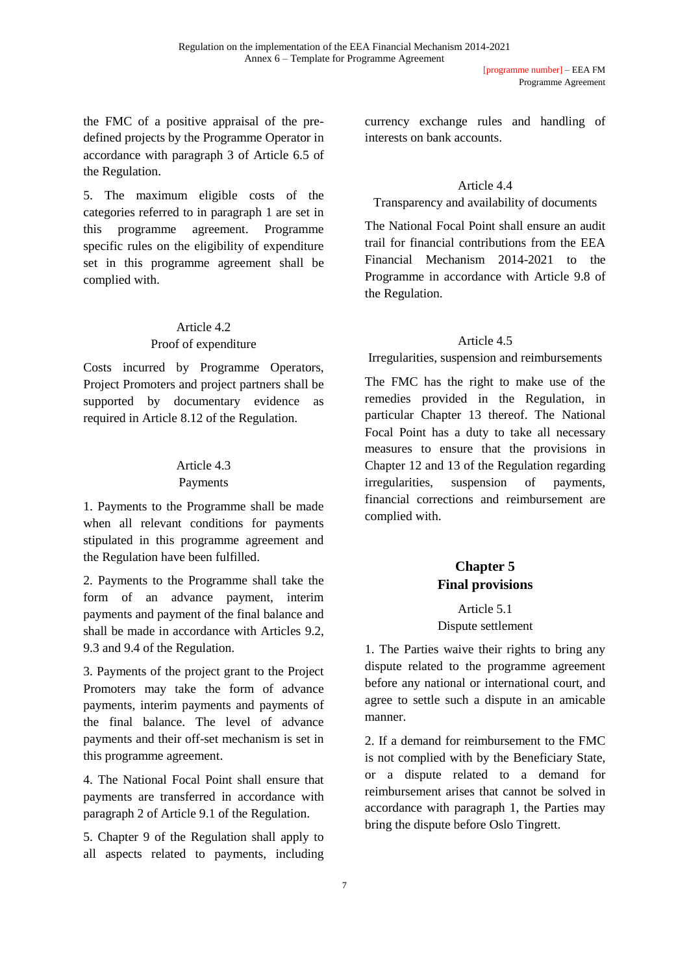the FMC of a positive appraisal of the predefined projects by the Programme Operator in accordance with paragraph 3 of Article 6.5 of the Regulation.

5. The maximum eligible costs of the categories referred to in paragraph 1 are set in this programme agreement. Programme specific rules on the eligibility of expenditure set in this programme agreement shall be complied with.

# Article 4.2

#### Proof of expenditure

Costs incurred by Programme Operators, Project Promoters and project partners shall be supported by documentary evidence as required in Article 8.12 of the Regulation.

# Article 4.3

# Payments

1. Payments to the Programme shall be made when all relevant conditions for payments stipulated in this programme agreement and the Regulation have been fulfilled.

2. Payments to the Programme shall take the form of an advance payment, interim payments and payment of the final balance and shall be made in accordance with Articles 9.2, 9.3 and 9.4 of the Regulation.

3. Payments of the project grant to the Project Promoters may take the form of advance payments, interim payments and payments of the final balance. The level of advance payments and their off-set mechanism is set in this programme agreement.

4. The National Focal Point shall ensure that payments are transferred in accordance with paragraph 2 of Article 9.1 of the Regulation.

5. Chapter 9 of the Regulation shall apply to all aspects related to payments, including currency exchange rules and handling of interests on bank accounts.

# Article 4.4

Transparency and availability of documents

The National Focal Point shall ensure an audit trail for financial contributions from the EEA Financial Mechanism 2014-2021 to the Programme in accordance with Article 9.8 of the Regulation.

# Article 4.5

Irregularities, suspension and reimbursements

The FMC has the right to make use of the remedies provided in the Regulation, in particular Chapter 13 thereof. The National Focal Point has a duty to take all necessary measures to ensure that the provisions in Chapter 12 and 13 of the Regulation regarding irregularities, suspension of payments, financial corrections and reimbursement are complied with.

# **Chapter 5 Final provisions**

#### Article 5.1 Dispute settlement

1. The Parties waive their rights to bring any dispute related to the programme agreement before any national or international court, and agree to settle such a dispute in an amicable manner.

2. If a demand for reimbursement to the FMC is not complied with by the Beneficiary State, or a dispute related to a demand for reimbursement arises that cannot be solved in accordance with paragraph 1, the Parties may bring the dispute before Oslo Tingrett.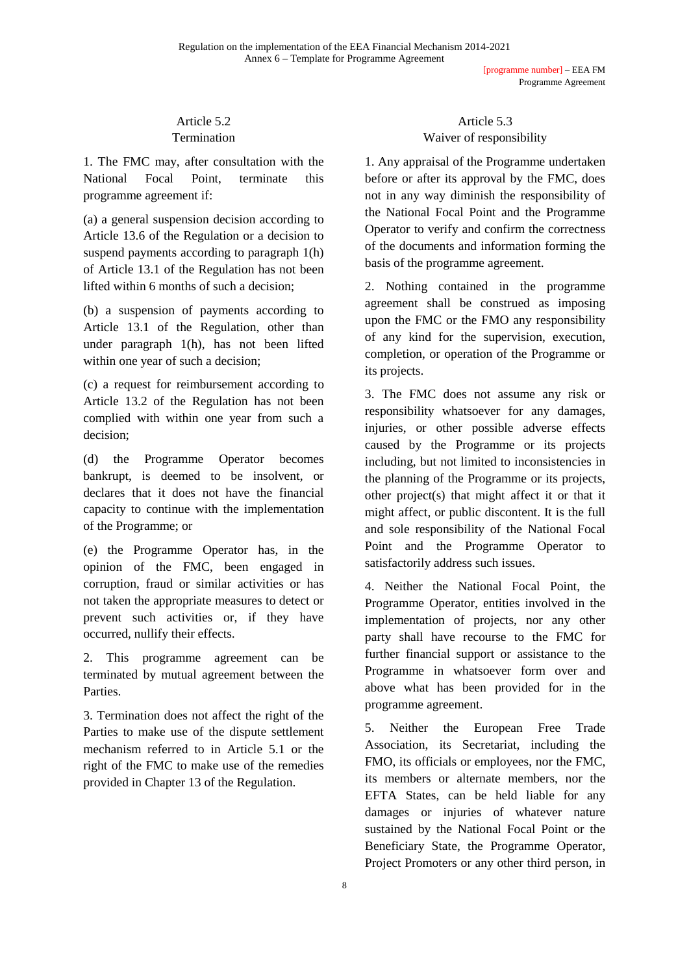[programme number] – EEA FM Programme Agreement

#### Article 5.2 **Termination**

1. The FMC may, after consultation with the National Focal Point, terminate this programme agreement if:

(a) a general suspension decision according to Article 13.6 of the Regulation or a decision to suspend payments according to paragraph 1(h) of Article 13.1 of the Regulation has not been lifted within 6 months of such a decision;

(b) a suspension of payments according to Article 13.1 of the Regulation, other than under paragraph 1(h), has not been lifted within one year of such a decision;

(c) a request for reimbursement according to Article 13.2 of the Regulation has not been complied with within one year from such a decision;

(d) the Programme Operator becomes bankrupt, is deemed to be insolvent, or declares that it does not have the financial capacity to continue with the implementation of the Programme; or

(e) the Programme Operator has, in the opinion of the FMC, been engaged in corruption, fraud or similar activities or has not taken the appropriate measures to detect or prevent such activities or, if they have occurred, nullify their effects.

2. This programme agreement can be terminated by mutual agreement between the Parties.

3. Termination does not affect the right of the Parties to make use of the dispute settlement mechanism referred to in Article 5.1 or the right of the FMC to make use of the remedies provided in Chapter 13 of the Regulation.

# Article 5.3 Waiver of responsibility

1. Any appraisal of the Programme undertaken before or after its approval by the FMC, does not in any way diminish the responsibility of the National Focal Point and the Programme Operator to verify and confirm the correctness of the documents and information forming the basis of the programme agreement.

2. Nothing contained in the programme agreement shall be construed as imposing upon the FMC or the FMO any responsibility of any kind for the supervision, execution, completion, or operation of the Programme or its projects.

3. The FMC does not assume any risk or responsibility whatsoever for any damages, injuries, or other possible adverse effects caused by the Programme or its projects including, but not limited to inconsistencies in the planning of the Programme or its projects, other project(s) that might affect it or that it might affect, or public discontent. It is the full and sole responsibility of the National Focal Point and the Programme Operator to satisfactorily address such issues.

4. Neither the National Focal Point, the Programme Operator, entities involved in the implementation of projects, nor any other party shall have recourse to the FMC for further financial support or assistance to the Programme in whatsoever form over and above what has been provided for in the programme agreement.

5. Neither the European Free Trade Association, its Secretariat, including the FMO, its officials or employees, nor the FMC, its members or alternate members, nor the EFTA States, can be held liable for any damages or injuries of whatever nature sustained by the National Focal Point or the Beneficiary State, the Programme Operator, Project Promoters or any other third person, in